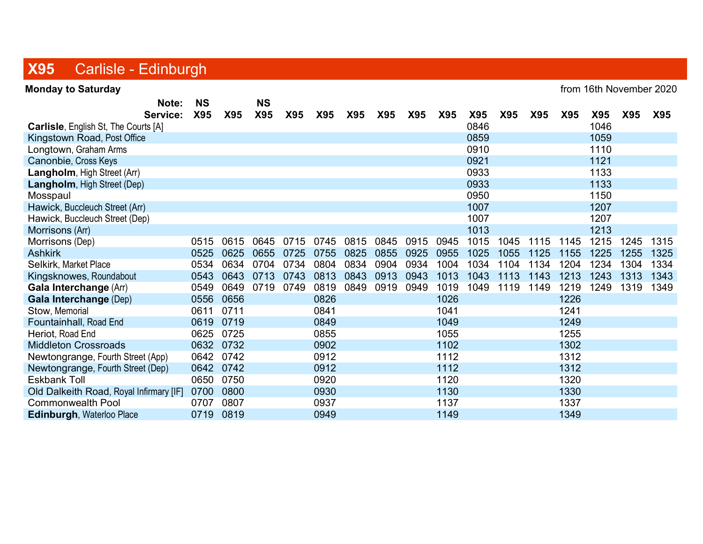## X95 Carlisle - Edinburgh

| <b>Monday to Saturday</b>                   |            |      |           |            |      |      |            |      |            |      |            |      |      | from 16th November 2020 |      |      |
|---------------------------------------------|------------|------|-----------|------------|------|------|------------|------|------------|------|------------|------|------|-------------------------|------|------|
| Note:                                       | <b>NS</b>  |      | <b>NS</b> |            |      |      |            |      |            |      |            |      |      |                         |      |      |
| Service:                                    | <b>X95</b> | X95  | X95       | <b>X95</b> | X95  | X95  | <b>X95</b> | X95  | <b>X95</b> | X95  | <b>X95</b> | X95  | X95  | X95                     | X95  | X95  |
| <b>Carlisle, English St, The Courts [A]</b> |            |      |           |            |      |      |            |      |            | 0846 |            |      |      | 1046                    |      |      |
| Kingstown Road, Post Office                 |            |      |           |            |      |      |            |      |            | 0859 |            |      |      | 1059                    |      |      |
| Longtown, Graham Arms                       |            |      |           |            |      |      |            |      |            | 0910 |            |      |      | 1110                    |      |      |
| Canonbie, Cross Keys                        |            |      |           |            |      |      |            |      |            | 0921 |            |      |      | 1121                    |      |      |
| <b>Langholm, High Street (Arr)</b>          |            |      |           |            |      |      |            |      |            | 0933 |            |      |      | 1133                    |      |      |
| <b>Langholm, High Street (Dep)</b>          |            |      |           |            |      |      |            |      |            | 0933 |            |      |      | 1133                    |      |      |
| Mosspaul                                    |            |      |           |            |      |      |            |      |            | 0950 |            |      |      | 1150                    |      |      |
| Hawick, Buccleuch Street (Arr)              |            |      |           |            |      |      |            |      |            | 1007 |            |      |      | 1207                    |      |      |
| Hawick, Buccleuch Street (Dep)              |            |      |           |            |      |      |            |      |            | 1007 |            |      |      | 1207                    |      |      |
| Morrisons (Arr)                             |            |      |           |            |      |      |            |      |            | 1013 |            |      |      | 1213                    |      |      |
| Morrisons (Dep)                             | 0515       | 0615 | 0645      | 0715       | 0745 | 0815 | 0845       | 0915 | 0945       | 1015 | 1045       | 1115 | 1145 | 1215                    | 1245 | 1315 |
| <b>Ashkirk</b>                              | 0525       | 0625 | 0655      | 0725       | 0755 | 0825 | 0855       | 0925 | 0955       | 1025 | 1055       | 1125 | 1155 | 1225                    | 1255 | 1325 |
| Selkirk, Market Place                       | 0534       | 0634 | 0704      | 0734       | 0804 | 0834 | 0904       | 0934 | 1004       | 1034 | 1104       | 1134 | 1204 | 1234                    | 1304 | 1334 |
| Kingsknowes, Roundabout                     | 0543       | 0643 | 0713      | 0743       | 0813 | 0843 | 0913       | 0943 | 1013       | 1043 | 1113       | 1143 | 1213 | 1243                    | 1313 | 1343 |
| Gala Interchange (Arr)                      | 0549       | 0649 | 0719      | 0749       | 0819 | 0849 | 0919       | 0949 | 1019       | 1049 | 1119       | 1149 | 1219 | 1249                    | 1319 | 1349 |
| Gala Interchange (Dep)                      | 0556       | 0656 |           |            | 0826 |      |            |      | 1026       |      |            |      | 1226 |                         |      |      |
| Stow, Memorial                              | 0611       | 0711 |           |            | 0841 |      |            |      | 1041       |      |            |      | 1241 |                         |      |      |
| Fountainhall, Road End                      | 0619       | 0719 |           |            | 0849 |      |            |      | 1049       |      |            |      | 1249 |                         |      |      |
| Heriot, Road End                            | 0625       | 0725 |           |            | 0855 |      |            |      | 1055       |      |            |      | 1255 |                         |      |      |
| <b>Middleton Crossroads</b>                 | 0632       | 0732 |           |            | 0902 |      |            |      | 1102       |      |            |      | 1302 |                         |      |      |
| Newtongrange, Fourth Street (App)           | 0642       | 0742 |           |            | 0912 |      |            |      | 1112       |      |            |      | 1312 |                         |      |      |
| Newtongrange, Fourth Street (Dep)           | 0642       | 0742 |           |            | 0912 |      |            |      | 1112       |      |            |      | 1312 |                         |      |      |
| <b>Eskbank Toll</b>                         | 0650       | 0750 |           |            | 0920 |      |            |      | 1120       |      |            |      | 1320 |                         |      |      |
| Old Dalkeith Road, Royal Infirmary [IF]     | 0700       | 0800 |           |            | 0930 |      |            |      | 1130       |      |            |      | 1330 |                         |      |      |
| <b>Commonwealth Pool</b>                    | 0707       | 0807 |           |            | 0937 |      |            |      | 1137       |      |            |      | 1337 |                         |      |      |
| Edinburgh, Waterloo Place                   | 0719       | 0819 |           |            | 0949 |      |            |      | 1149       |      |            |      | 1349 |                         |      |      |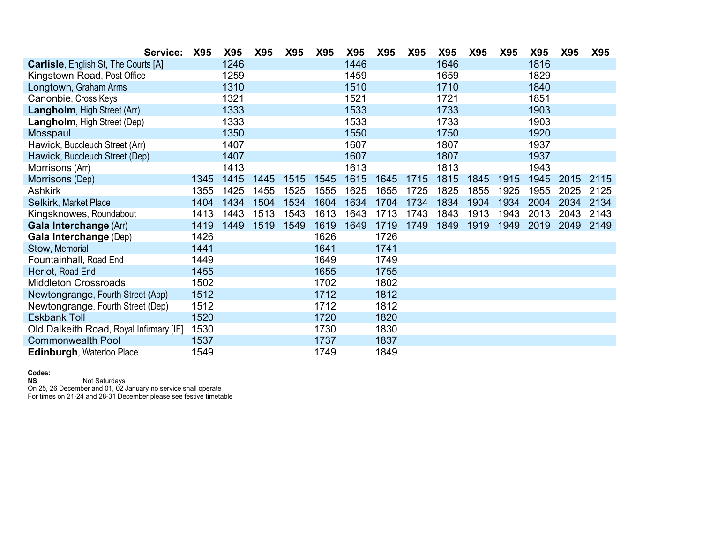| Service:                                    | <b>X95</b> | X95  | X95  | X95  | X95  | X95  | X95  | X95  | X95  | X95  | X95  | X95  | X95  | X95  |
|---------------------------------------------|------------|------|------|------|------|------|------|------|------|------|------|------|------|------|
| <b>Carlisle, English St, The Courts [A]</b> |            | 1246 |      |      |      | 1446 |      |      | 1646 |      |      | 1816 |      |      |
| Kingstown Road, Post Office                 |            | 1259 |      |      |      | 1459 |      |      | 1659 |      |      | 1829 |      |      |
| Longtown, Graham Arms                       |            | 1310 |      |      |      | 1510 |      |      | 1710 |      |      | 1840 |      |      |
| Canonbie, Cross Keys                        |            | 1321 |      |      |      | 1521 |      |      | 1721 |      |      | 1851 |      |      |
| Langholm, High Street (Arr)                 |            | 1333 |      |      |      | 1533 |      |      | 1733 |      |      | 1903 |      |      |
| <b>Langholm, High Street (Dep)</b>          |            | 1333 |      |      |      | 1533 |      |      | 1733 |      |      | 1903 |      |      |
| Mosspaul                                    |            | 1350 |      |      |      | 1550 |      |      | 1750 |      |      | 1920 |      |      |
| Hawick, Buccleuch Street (Arr)              |            | 1407 |      |      |      | 1607 |      |      | 1807 |      |      | 1937 |      |      |
| Hawick, Buccleuch Street (Dep)              |            | 1407 |      |      |      | 1607 |      |      | 1807 |      |      | 1937 |      |      |
| Morrisons (Arr)                             |            | 1413 |      |      |      | 1613 |      |      | 1813 |      |      | 1943 |      |      |
| Morrisons (Dep)                             | 1345       | 1415 | 1445 | 1515 | 1545 | 1615 | 1645 | 1715 | 1815 | 1845 | 1915 | 1945 | 2015 | 2115 |
| <b>Ashkirk</b>                              | 1355       | 1425 | 1455 | 1525 | 1555 | 1625 | 1655 | 1725 | 1825 | 1855 | 1925 | 1955 | 2025 | 2125 |
| Selkirk, Market Place                       | 1404       | 1434 | 1504 | 1534 | 1604 | 1634 | 1704 | 1734 | 1834 | 1904 | 1934 | 2004 | 2034 | 2134 |
| Kingsknowes, Roundabout                     | 1413       | 1443 | 1513 | 1543 | 1613 | 1643 | 1713 | 1743 | 1843 | 1913 | 1943 | 2013 | 2043 | 2143 |
| Gala Interchange (Arr)                      | 1419       | 1449 | 1519 | 1549 | 1619 | 1649 | 1719 | 1749 | 1849 | 1919 | 1949 | 2019 | 2049 | 2149 |
| Gala Interchange (Dep)                      | 1426       |      |      |      | 1626 |      | 1726 |      |      |      |      |      |      |      |
| Stow, Memorial                              | 1441       |      |      |      | 1641 |      | 1741 |      |      |      |      |      |      |      |
| Fountainhall, Road End                      | 1449       |      |      |      | 1649 |      | 1749 |      |      |      |      |      |      |      |
| Heriot, Road End                            | 1455       |      |      |      | 1655 |      | 1755 |      |      |      |      |      |      |      |
| <b>Middleton Crossroads</b>                 | 1502       |      |      |      | 1702 |      | 1802 |      |      |      |      |      |      |      |
| Newtongrange, Fourth Street (App)           | 1512       |      |      |      | 1712 |      | 1812 |      |      |      |      |      |      |      |
| Newtongrange, Fourth Street (Dep)           | 1512       |      |      |      | 1712 |      | 1812 |      |      |      |      |      |      |      |
| <b>Eskbank Toll</b>                         | 1520       |      |      |      | 1720 |      | 1820 |      |      |      |      |      |      |      |
| Old Dalkeith Road, Royal Infirmary [IF]     | 1530       |      |      |      | 1730 |      | 1830 |      |      |      |      |      |      |      |
| <b>Commonwealth Pool</b>                    | 1537       |      |      |      | 1737 |      | 1837 |      |      |      |      |      |      |      |
| <b>Edinburgh, Waterloo Place</b>            | 1549       |      |      |      | 1749 |      | 1849 |      |      |      |      |      |      |      |

Codes:<br>NS **NS** Not Saturdays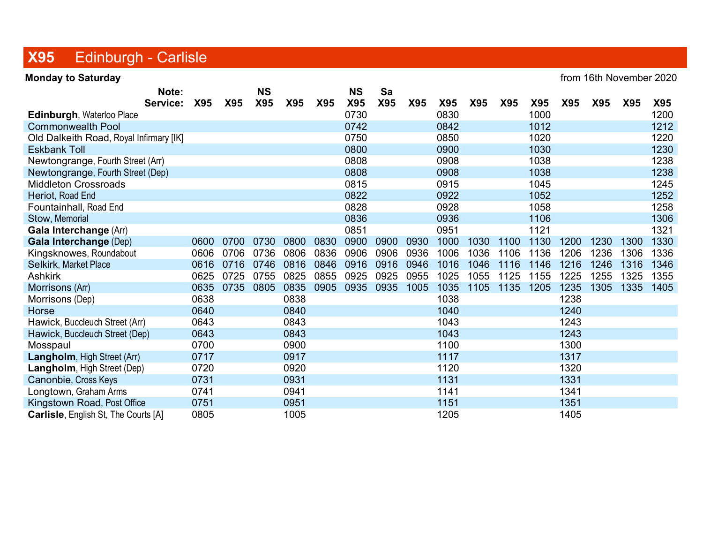### X95 Edinburgh - Carlisle

 Monday to Saturday from 16th November 2020 Note: NS NS Sa Service: X95 X95 X95 X95 X95 X95 X95 X95 X95 X95 X95 X95 X95 X95 X95 X95 Edinburgh, Waterloo Place 0730 0830 1000 1200 Commonwealth Pool 0742 0842 1012 1212 Old Dalkeith Road, Royal Infirmary [IK] 0750 0850 0850 1020 1220 Eskbank Toll 0800 0900 1030 1230 Newtongrange, Fourth Street (Arr) 1238 1239 Newtongrange, Fourth Street (Dep) 1238 0808 0908 0908 1038 1238 1238 Middleton Crossroads 0815 0915 1045 1245 Heriot, Road End 0822 0922 1052 1252 Fountainhall, Road End 0828 0928 1058 1258 Stow, Memorial 0836 0936 1106 1306 Gala Interchange (Arr) (Arr) 1321<br>
Gala Interchange (Dep) (1300 0600 0700 0730 0800 0830 0900 0900 0930 1000 1030 1100 1130 1200 1230 1300 1330 Gala Interchange (Dep) 0600 0700 0730 0800 0830 0900 0900 0930 1000 1030 1100 1130 1200 1230 1300 1330 Kingsknowes, Roundabout 0606 0706 0736 0806 0836 0906 0906 0936 1006 1036 1106 1136 1206 1236 1306 1336 Selkirk, Market Place 0616 0716 0746 0816 0846 0916 0916 0946 1016 1046 1116 1146 1216 1246 1316 1346 Ashkirk 0625 0725 0755 0825 0855 0925 0925 0955 1025 1055 1125 1155 1225 1255 1325 1355 Morrisons (Arr) 0635 0735 0805 0835 0905 0935 0935 1005 1035 1105 1135 1205 1235 1305 1335 1405 Morrisons (Dep) 0638 0838 1038 1238 Horse 0640 0840 1040 1240 Hawick, Buccleuch Street (Arr) 0643 0843 1043 1243 Hawick, Buccleuch Street (Dep)  $0643$  0843 1043 1043 1043 1243 Mosspaul 0700 0900 1100 1300 **Langholm**, High Street (Arr)  $0717$  0917 1117 1117 1317 **Langholm**, High Street (Dep) 0720 0920 1120 1320 Canonbie, Cross Keys **0731** 0931 1131 1331 1331 Longtown, Graham Arms **0741** 0941 0941 1141 1341 Kingstown Road, Post Office 0751 0951 0951 1151 1351

**Carlisle**, English St, The Courts [A]  $0805$  1005 1205 1205 1405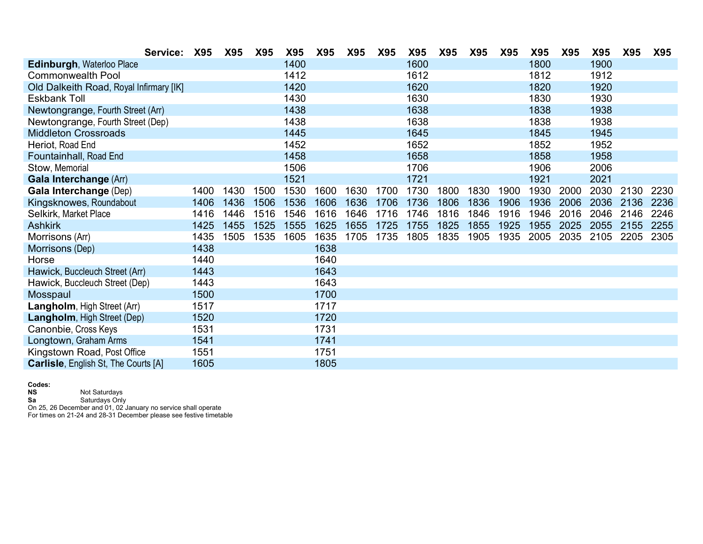| Service:                                    | <b>X95</b> | <b>X95</b> | <b>X95</b> | X95  | X95  | <b>X95</b> | <b>X95</b> | X95  | <b>X95</b> | X95  | <b>X95</b> | X95  | X95  | X95  | <b>X95</b> | <b>X95</b> |
|---------------------------------------------|------------|------------|------------|------|------|------------|------------|------|------------|------|------------|------|------|------|------------|------------|
| <b>Edinburgh, Waterloo Place</b>            |            |            |            | 1400 |      |            |            | 1600 |            |      |            | 1800 |      | 1900 |            |            |
| <b>Commonwealth Pool</b>                    |            |            |            | 1412 |      |            |            | 1612 |            |      |            | 1812 |      | 1912 |            |            |
| Old Dalkeith Road, Royal Infirmary [IK]     |            |            |            | 1420 |      |            |            | 1620 |            |      |            | 1820 |      | 1920 |            |            |
| <b>Eskbank Toll</b>                         |            |            |            | 1430 |      |            |            | 1630 |            |      |            | 1830 |      | 1930 |            |            |
| Newtongrange, Fourth Street (Arr)           |            |            |            | 1438 |      |            |            | 1638 |            |      |            | 1838 |      | 1938 |            |            |
| Newtongrange, Fourth Street (Dep)           |            |            |            | 1438 |      |            |            | 1638 |            |      |            | 1838 |      | 1938 |            |            |
| <b>Middleton Crossroads</b>                 |            |            |            | 1445 |      |            |            | 1645 |            |      |            | 1845 |      | 1945 |            |            |
| Heriot, Road End                            |            |            |            | 1452 |      |            |            | 1652 |            |      |            | 1852 |      | 1952 |            |            |
| Fountainhall, Road End                      |            |            |            | 1458 |      |            |            | 1658 |            |      |            | 1858 |      | 1958 |            |            |
| Stow, Memorial                              |            |            |            | 1506 |      |            |            | 1706 |            |      |            | 1906 |      | 2006 |            |            |
| Gala Interchange (Arr)                      |            |            |            | 1521 |      |            |            | 1721 |            |      |            | 1921 |      | 2021 |            |            |
| Gala Interchange (Dep)                      | 1400       | 1430       | 1500       | 1530 | 1600 | 1630       | 1700       | 1730 | 1800       | 1830 | 1900       | 1930 | 2000 | 2030 | 2130       | 2230       |
| Kingsknowes, Roundabout                     | 1406       | 1436       | 1506       | 1536 | 1606 | 1636       | 1706       | 1736 | 1806       | 1836 | 1906       | 1936 | 2006 | 2036 | 2136       | 2236       |
| Selkirk, Market Place                       | 1416       | 1446       | 1516       | 1546 | 1616 | 1646       | 1716       | 1746 | 1816       | 1846 | 1916       | 1946 | 2016 | 2046 | 2146       | 2246       |
| <b>Ashkirk</b>                              | 1425       | 1455       | 1525       | 1555 | 1625 | 1655       | 1725       | 1755 | 1825       | 1855 | 1925       | 1955 | 2025 | 2055 | 2155       | 2255       |
| Morrisons (Arr)                             | 1435       | 1505       | 1535       | 1605 | 1635 | 1705       | 1735       | 1805 | 1835       | 1905 | 1935       | 2005 | 2035 | 2105 | 2205       | 2305       |
| Morrisons (Dep)                             | 1438       |            |            |      | 1638 |            |            |      |            |      |            |      |      |      |            |            |
| Horse                                       | 1440       |            |            |      | 1640 |            |            |      |            |      |            |      |      |      |            |            |
| Hawick, Buccleuch Street (Arr)              | 1443       |            |            |      | 1643 |            |            |      |            |      |            |      |      |      |            |            |
| Hawick, Buccleuch Street (Dep)              | 1443       |            |            |      | 1643 |            |            |      |            |      |            |      |      |      |            |            |
| Mosspaul                                    | 1500       |            |            |      | 1700 |            |            |      |            |      |            |      |      |      |            |            |
| Langholm, High Street (Arr)                 | 1517       |            |            |      | 1717 |            |            |      |            |      |            |      |      |      |            |            |
| <b>Langholm, High Street (Dep)</b>          | 1520       |            |            |      | 1720 |            |            |      |            |      |            |      |      |      |            |            |
| Canonbie, Cross Keys                        | 1531       |            |            |      | 1731 |            |            |      |            |      |            |      |      |      |            |            |
| Longtown, Graham Arms                       | 1541       |            |            |      | 1741 |            |            |      |            |      |            |      |      |      |            |            |
| Kingstown Road, Post Office                 | 1551       |            |            |      | 1751 |            |            |      |            |      |            |      |      |      |            |            |
| <b>Carlisle, English St, The Courts [A]</b> | 1605       |            |            |      | 1805 |            |            |      |            |      |            |      |      |      |            |            |

Codes:

**NS** Not Saturdays

Sa Saturdays Only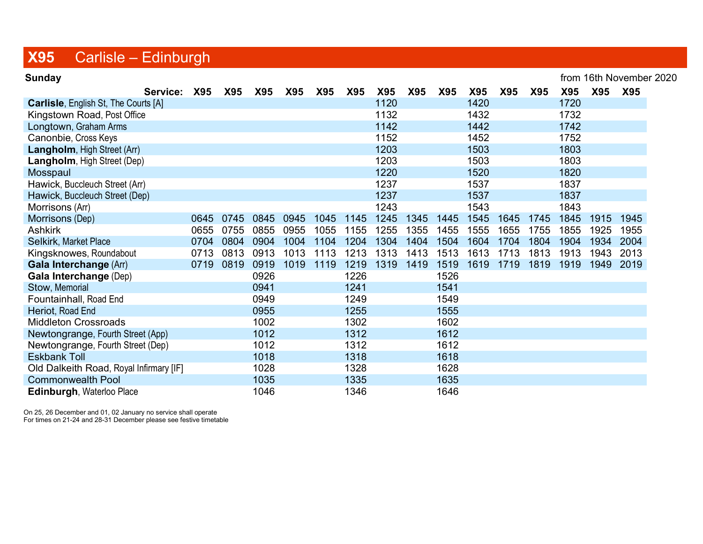## X95 Carlisle – Edinburgh

| <b>Sunday</b>                               |            |            |            |            |            |      |      |      |            |      |      |      |            | from 16th November 2020 |      |
|---------------------------------------------|------------|------------|------------|------------|------------|------|------|------|------------|------|------|------|------------|-------------------------|------|
| Service:                                    | <b>X95</b> | <b>X95</b> | <b>X95</b> | <b>X95</b> | <b>X95</b> | X95  | X95  | X95  | <b>X95</b> | X95  | X95  | X95  | <b>X95</b> | <b>X95</b>              | X95  |
| <b>Carlisle, English St, The Courts [A]</b> |            |            |            |            |            |      | 1120 |      |            | 1420 |      |      | 1720       |                         |      |
| Kingstown Road, Post Office                 |            |            |            |            |            |      | 1132 |      |            | 1432 |      |      | 1732       |                         |      |
| Longtown, Graham Arms                       |            |            |            |            |            |      | 1142 |      |            | 1442 |      |      | 1742       |                         |      |
| Canonbie, Cross Keys                        |            |            |            |            |            |      | 1152 |      |            | 1452 |      |      | 1752       |                         |      |
| Langholm, High Street (Arr)                 |            |            |            |            |            |      | 1203 |      |            | 1503 |      |      | 1803       |                         |      |
| Langholm, High Street (Dep)                 |            |            |            |            |            |      | 1203 |      |            | 1503 |      |      | 1803       |                         |      |
| Mosspaul                                    |            |            |            |            |            |      | 1220 |      |            | 1520 |      |      | 1820       |                         |      |
| Hawick, Buccleuch Street (Arr)              |            |            |            |            |            |      | 1237 |      |            | 1537 |      |      | 1837       |                         |      |
| Hawick, Buccleuch Street (Dep)              |            |            |            |            |            |      | 1237 |      |            | 1537 |      |      | 1837       |                         |      |
| Morrisons (Arr)                             |            |            |            |            |            |      | 1243 |      |            | 1543 |      |      | 1843       |                         |      |
| Morrisons (Dep)                             | 0645       | 0745       | 0845       | 0945       | 1045       | 1145 | 1245 | 1345 | 1445       | 1545 | 1645 | 1745 | 1845       | 1915                    | 1945 |
| <b>Ashkirk</b>                              | 0655       | 0755       | 0855       | 0955       | 1055       | 1155 | 1255 | 1355 | 1455       | 1555 | 1655 | 1755 | 1855       | 1925                    | 1955 |
| Selkirk, Market Place                       | 0704       | 0804       | 0904       | 1004       | 1104       | 1204 | 1304 | 1404 | 1504       | 1604 | 1704 | 1804 | 1904       | 1934                    | 2004 |
| Kingsknowes, Roundabout                     | 0713       | 0813       | 0913       | 1013       | 1113       | 1213 | 1313 | 1413 | 1513       | 1613 | 1713 | 1813 | 1913       | 1943                    | 2013 |
| Gala Interchange (Arr)                      | 0719       | 0819       | 0919       | 1019       | 1119       | 1219 | 1319 | 1419 | 1519       | 1619 | 1719 | 1819 | 1919       | 1949                    | 2019 |
| Gala Interchange (Dep)                      |            |            | 0926       |            |            | 1226 |      |      | 1526       |      |      |      |            |                         |      |
| Stow, Memorial                              |            |            | 0941       |            |            | 1241 |      |      | 1541       |      |      |      |            |                         |      |
| Fountainhall, Road End                      |            |            | 0949       |            |            | 1249 |      |      | 1549       |      |      |      |            |                         |      |
| Heriot, Road End                            |            |            | 0955       |            |            | 1255 |      |      | 1555       |      |      |      |            |                         |      |
| <b>Middleton Crossroads</b>                 |            |            | 1002       |            |            | 1302 |      |      | 1602       |      |      |      |            |                         |      |
| Newtongrange, Fourth Street (App)           |            |            | 1012       |            |            | 1312 |      |      | 1612       |      |      |      |            |                         |      |
| Newtongrange, Fourth Street (Dep)           |            |            | 1012       |            |            | 1312 |      |      | 1612       |      |      |      |            |                         |      |
| <b>Eskbank Toll</b>                         |            |            | 1018       |            |            | 1318 |      |      | 1618       |      |      |      |            |                         |      |
| Old Dalkeith Road, Royal Infirmary [IF]     |            |            | 1028       |            |            | 1328 |      |      | 1628       |      |      |      |            |                         |      |
| <b>Commonwealth Pool</b>                    |            |            | 1035       |            |            | 1335 |      |      | 1635       |      |      |      |            |                         |      |
| Edinburgh, Waterloo Place                   |            |            | 1046       |            |            | 1346 |      |      | 1646       |      |      |      |            |                         |      |